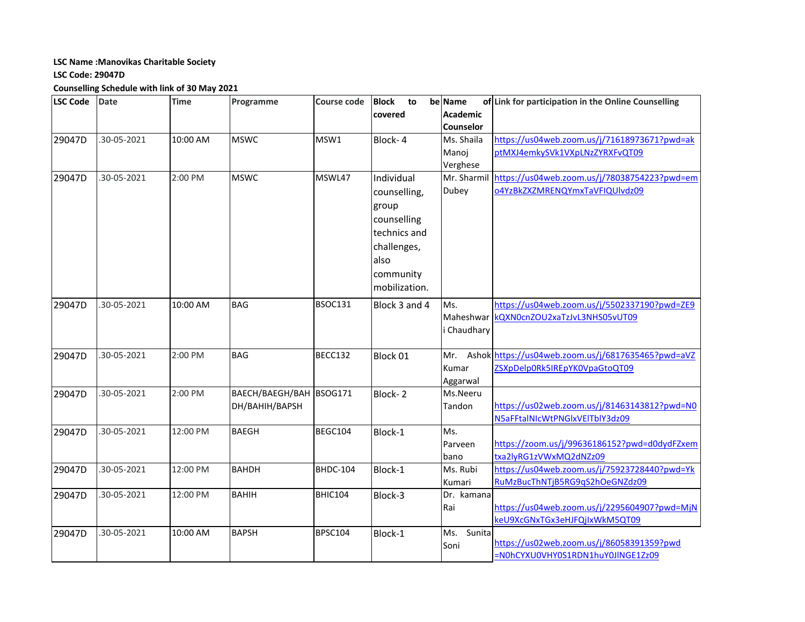## **LSC Name :Manovikas Charitable Society**

## **LSC Code: 29047D**

**Counselling Schedule with link of 30 May 2021**

| <b>LSC Code</b> | Date        | <b>Time</b> | Programme               | <b>Course code</b> | <b>Block</b><br>to | be Name          | of Link for participation in the Online Counselling    |
|-----------------|-------------|-------------|-------------------------|--------------------|--------------------|------------------|--------------------------------------------------------|
|                 |             |             |                         |                    | covered            | <b>Academic</b>  |                                                        |
|                 |             |             |                         |                    |                    | <b>Counselor</b> |                                                        |
| 29047D          | .30-05-2021 | 10:00 AM    | <b>MSWC</b>             | MSW1               | Block-4            | Ms. Shaila       | https://us04web.zoom.us/j/71618973671?pwd=ak           |
|                 |             |             |                         |                    |                    | Manoj            | ptMXJ4emkySVk1VXpLNzZYRXFvQT09                         |
|                 |             |             |                         |                    |                    | Verghese         |                                                        |
| 29047D          | .30-05-2021 | 2:00 PM     | <b>MSWC</b>             | MSWL47             | Individual         | Mr. Sharmil      | https://us04web.zoom.us/j/78038754223?pwd=em           |
|                 |             |             |                         |                    | counselling,       | Dubey            | o4YzBkZXZMRENQYmxTaVFIQUlvdz09                         |
|                 |             |             |                         |                    | group              |                  |                                                        |
|                 |             |             |                         |                    | counselling        |                  |                                                        |
|                 |             |             |                         |                    | technics and       |                  |                                                        |
|                 |             |             |                         |                    | challenges,        |                  |                                                        |
|                 |             |             |                         |                    | also               |                  |                                                        |
|                 |             |             |                         |                    | community          |                  |                                                        |
|                 |             |             |                         |                    | mobilization.      |                  |                                                        |
|                 |             |             |                         |                    |                    |                  |                                                        |
| 29047D          | .30-05-2021 | 10:00 AM    | <b>BAG</b>              | <b>BSOC131</b>     | Block 3 and 4      | Ms.              | https://us04web.zoom.us/j/5502337190?pwd=ZE9           |
|                 |             |             |                         |                    |                    |                  | Maheshwar   KQXN0cnZOU2xaTzJvL3NHS05vUT09              |
|                 |             |             |                         |                    |                    | i Chaudhary      |                                                        |
| 29047D          | .30-05-2021 | 2:00 PM     | <b>BAG</b>              | BECC132            | Block 01           |                  | Mr. Ashok https://us04web.zoom.us/j/6817635465?pwd=aVZ |
|                 |             |             |                         |                    |                    | Kumar            | ZSXpDelp0Rk5IREpYK0VpaGtoQT09                          |
|                 |             |             |                         |                    |                    | Aggarwal         |                                                        |
| 29047D          | .30-05-2021 | 2:00 PM     | BAECH/BAEGH/BAH BSOG171 |                    | Block-2            | Ms.Neeru         |                                                        |
|                 |             |             | DH/BAHIH/BAPSH          |                    |                    | Tandon           | https://us02web.zoom.us/j/81463143812?pwd=N0           |
|                 |             |             |                         |                    |                    |                  | N5aFFtalNIcWtPNGlxVEITblY3dz09                         |
| 29047D          | .30-05-2021 | 12:00 PM    | <b>BAEGH</b>            | BEGC104            | Block-1            | Ms.              |                                                        |
|                 |             |             |                         |                    |                    | Parveen          | https://zoom.us/j/99636186152?pwd=d0dydFZxem           |
|                 |             |             |                         |                    |                    | bano             | txa2lyRG1zVWxMQ2dNZz09                                 |
| 29047D          | 30-05-2021  | 12:00 PM    | <b>BAHDH</b>            | <b>BHDC-104</b>    | Block-1            | Ms. Rubi         | https://us04web.zoom.us/j/75923728440?pwd=Yk           |
|                 |             |             |                         |                    |                    | Kumari           | RuMzBucThNTjB5RG9qS2hOeGNZdz09                         |
| 29047D          | .30-05-2021 | 12:00 PM    | <b>BAHIH</b>            | <b>BHIC104</b>     | Block-3            | Dr. kamana       |                                                        |
|                 |             |             |                         |                    |                    | Rai              | https://us04web.zoom.us/j/2295604907?pwd=MjN           |
|                 |             |             |                         |                    |                    |                  | keU9XcGNxTGx3eHJFQjIxWkM5QT09                          |
| 29047D          | .30-05-2021 | 10:00 AM    | <b>BAPSH</b>            | <b>BPSC104</b>     | Block-1            | Ms. Sunita       |                                                        |
|                 |             |             |                         |                    |                    | Soni             | https://us02web.zoom.us/j/86058391359?pwd              |
|                 |             |             |                         |                    |                    |                  | =N0hCYXU0VHY0S1RDN1huY0JlNGE1Zz09                      |